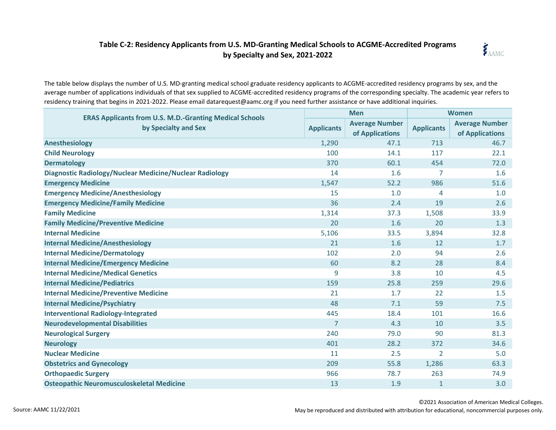## **Table C-2: Residency Applicants from U.S. MD-Granting Medical Schools to ACGME-Accredited Programs by Specialty and Sex, 2021-2022**



The table below displays the number of U.S. MD-granting medical school graduate residency applicants to ACGME-accredited residency programs by sex, and the average number of applications individuals of that sex supplied to ACGME-accredited residency programs of the corresponding specialty. The academic year refers to residency training that begins in 2021-2022. Please email datarequest@aamc.org if you need further assistance or have additional inquiries.

| <b>ERAS Applicants from U.S. M.D.-Granting Medical Schools</b><br>by Specialty and Sex | <b>Men</b>        |                                          | <b>Women</b>      |                                          |
|----------------------------------------------------------------------------------------|-------------------|------------------------------------------|-------------------|------------------------------------------|
|                                                                                        | <b>Applicants</b> | <b>Average Number</b><br>of Applications | <b>Applicants</b> | <b>Average Number</b><br>of Applications |
| <b>Anesthesiology</b>                                                                  | 1,290             | 47.1                                     | 713               | 46.7                                     |
| <b>Child Neurology</b>                                                                 | 100               | 14.1                                     | 117               | 22.1                                     |
| <b>Dermatology</b>                                                                     | 370               | 60.1                                     | 454               | 72.0                                     |
| Diagnostic Radiology/Nuclear Medicine/Nuclear Radiology                                | 14                | 1.6                                      | 7                 | 1.6                                      |
| <b>Emergency Medicine</b>                                                              | 1,547             | 52.2                                     | 986               | 51.6                                     |
| <b>Emergency Medicine/Anesthesiology</b>                                               | 15                | 1.0                                      | 4                 | 1.0                                      |
| <b>Emergency Medicine/Family Medicine</b>                                              | 36                | 2.4                                      | 19                | 2.6                                      |
| <b>Family Medicine</b>                                                                 | 1,314             | 37.3                                     | 1,508             | 33.9                                     |
| <b>Family Medicine/Preventive Medicine</b>                                             | 20                | 1.6                                      | 20                | 1.3                                      |
| <b>Internal Medicine</b>                                                               | 5,106             | 33.5                                     | 3,894             | 32.8                                     |
| <b>Internal Medicine/Anesthesiology</b>                                                | 21                | 1.6                                      | 12                | 1.7                                      |
| <b>Internal Medicine/Dermatology</b>                                                   | 102               | 2.0                                      | 94                | 2.6                                      |
| <b>Internal Medicine/Emergency Medicine</b>                                            | 60                | 8.2                                      | 28                | 8.4                                      |
| <b>Internal Medicine/Medical Genetics</b>                                              | 9                 | 3.8                                      | 10                | 4.5                                      |
| <b>Internal Medicine/Pediatrics</b>                                                    | 159               | 25.8                                     | 259               | 29.6                                     |
| <b>Internal Medicine/Preventive Medicine</b>                                           | 21                | 1.7                                      | 22                | 1.5                                      |
| <b>Internal Medicine/Psychiatry</b>                                                    | 48                | 7.1                                      | 59                | 7.5                                      |
| <b>Interventional Radiology-Integrated</b>                                             | 445               | 18.4                                     | 101               | 16.6                                     |
| <b>Neurodevelopmental Disabilities</b>                                                 | $\overline{7}$    | 4.3                                      | 10                | 3.5                                      |
| <b>Neurological Surgery</b>                                                            | 240               | 79.0                                     | 90                | 81.3                                     |
| <b>Neurology</b>                                                                       | 401               | 28.2                                     | 372               | 34.6                                     |
| <b>Nuclear Medicine</b>                                                                | 11                | 2.5                                      | $\overline{2}$    | 5.0                                      |
| <b>Obstetrics and Gynecology</b>                                                       | 209               | 55.8                                     | 1,286             | 63.3                                     |
| <b>Orthopaedic Surgery</b>                                                             | 966               | 78.7                                     | 263               | 74.9                                     |
| <b>Osteopathic Neuromusculoskeletal Medicine</b>                                       | 13                | 1.9                                      | $\mathbf{1}$      | 3.0                                      |

©2021 Association of American Medical Colleges.

May be reproduced and distributed with attribution for educational, noncommercial purposes only.